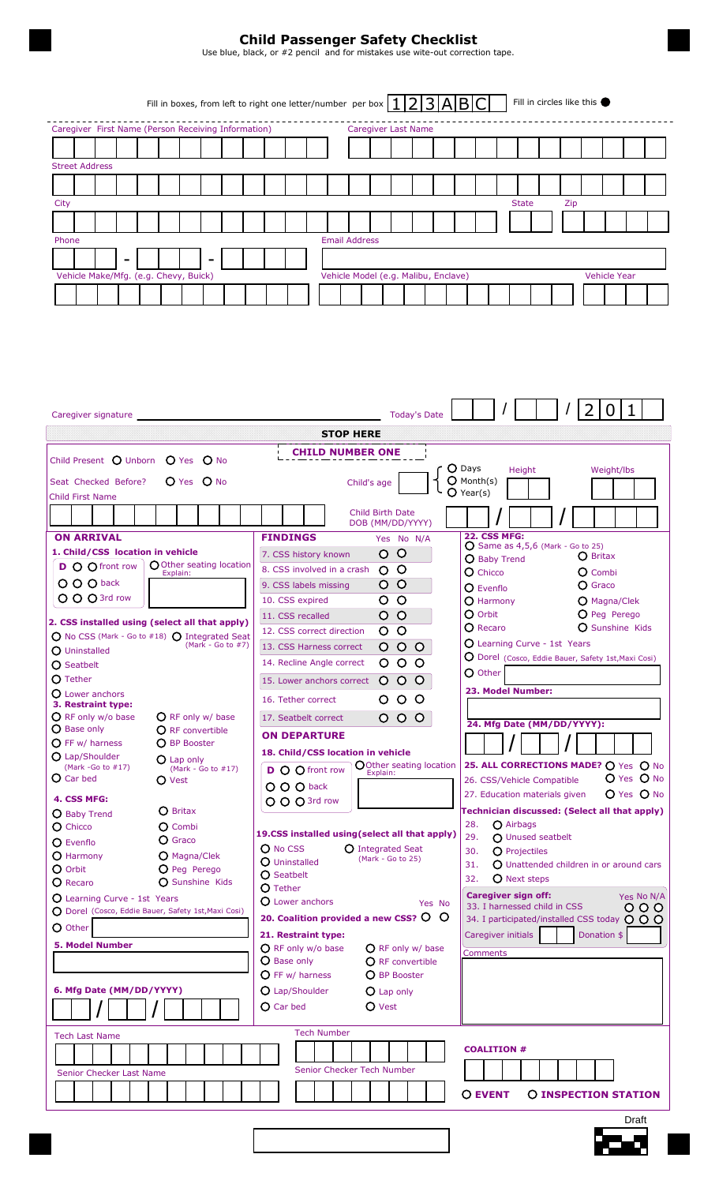# **Child Passenger Safety Checklist**

Use blue, black, or #2 pencil and for mistakes use wite-out correction tape.

|                                                                                               |  |  |  |  |  |  |  |  |  |                            |  |  |  |  |  |  | Fill in boxes, from left to right one letter/number per box $\left 1\right 2\left 3\right $ A $\left B\right C$ |  |  |  |  |  |  | Fill in circles like this |  |  |
|-----------------------------------------------------------------------------------------------|--|--|--|--|--|--|--|--|--|----------------------------|--|--|--|--|--|--|-----------------------------------------------------------------------------------------------------------------|--|--|--|--|--|--|---------------------------|--|--|
| Caregiver First Name (Person Receiving Information)                                           |  |  |  |  |  |  |  |  |  | <b>Caregiver Last Name</b> |  |  |  |  |  |  |                                                                                                                 |  |  |  |  |  |  |                           |  |  |
|                                                                                               |  |  |  |  |  |  |  |  |  |                            |  |  |  |  |  |  |                                                                                                                 |  |  |  |  |  |  |                           |  |  |
| <b>Street Address</b>                                                                         |  |  |  |  |  |  |  |  |  |                            |  |  |  |  |  |  |                                                                                                                 |  |  |  |  |  |  |                           |  |  |
|                                                                                               |  |  |  |  |  |  |  |  |  |                            |  |  |  |  |  |  |                                                                                                                 |  |  |  |  |  |  |                           |  |  |
| <b>State</b><br>City<br>Zip                                                                   |  |  |  |  |  |  |  |  |  |                            |  |  |  |  |  |  |                                                                                                                 |  |  |  |  |  |  |                           |  |  |
|                                                                                               |  |  |  |  |  |  |  |  |  |                            |  |  |  |  |  |  |                                                                                                                 |  |  |  |  |  |  |                           |  |  |
| <b>Email Address</b><br>Phone                                                                 |  |  |  |  |  |  |  |  |  |                            |  |  |  |  |  |  |                                                                                                                 |  |  |  |  |  |  |                           |  |  |
|                                                                                               |  |  |  |  |  |  |  |  |  |                            |  |  |  |  |  |  |                                                                                                                 |  |  |  |  |  |  |                           |  |  |
| Vehicle Make/Mfg. (e.g. Chevy, Buick)<br>Vehicle Model (e.g. Malibu, Enclave)<br>Vehicle Year |  |  |  |  |  |  |  |  |  |                            |  |  |  |  |  |  |                                                                                                                 |  |  |  |  |  |  |                           |  |  |
|                                                                                               |  |  |  |  |  |  |  |  |  |                            |  |  |  |  |  |  |                                                                                                                 |  |  |  |  |  |  |                           |  |  |

| Caregiver signature                                                                                                                                                                                                                                                                   | <b>Today's Date</b>                                                                                                                                                                                                                                                                                                                                                              | 0                                                                                                                                                                                                                                                                                                                                                      |
|---------------------------------------------------------------------------------------------------------------------------------------------------------------------------------------------------------------------------------------------------------------------------------------|----------------------------------------------------------------------------------------------------------------------------------------------------------------------------------------------------------------------------------------------------------------------------------------------------------------------------------------------------------------------------------|--------------------------------------------------------------------------------------------------------------------------------------------------------------------------------------------------------------------------------------------------------------------------------------------------------------------------------------------------------|
|                                                                                                                                                                                                                                                                                       | <b>STOP HERE</b>                                                                                                                                                                                                                                                                                                                                                                 |                                                                                                                                                                                                                                                                                                                                                        |
| Child Present O Unborn O Yes O No<br>$O$ Yes $O$ No<br>Seat Checked Before?                                                                                                                                                                                                           | <b>CHILD NUMBER ONE</b><br>Child's age                                                                                                                                                                                                                                                                                                                                           | O Days<br>Height<br>Weight/lbs<br>$O$ Month(s)<br>$\bigcirc$ Year(s)                                                                                                                                                                                                                                                                                   |
| <b>Child First Name</b><br><b>ON ARRIVAL</b>                                                                                                                                                                                                                                          | <b>Child Birth Date</b><br>DOB (MM/DD/YYYY)<br><b>FINDINGS</b><br>Yes No N/A                                                                                                                                                                                                                                                                                                     | <b>22. CSS MFG:</b>                                                                                                                                                                                                                                                                                                                                    |
| 1. Child/CSS location in vehicle<br>O Other seating location<br><b>D</b> O O front row<br>Explain:<br>O O O back<br>O O O 3rd row<br>2. CSS installed using (select all that apply)<br>O No CSS (Mark - Go to #18) O Integrated Seat<br>$(Mark - Go to #7)$<br>$\bigcirc$ Uninstalled | $\circ$<br>$\circ$<br>7. CSS history known<br>$\circ$<br>8. CSS involved in a crash<br>$\circ$<br>$\circ$<br>O.<br>9. CSS labels missing<br>$\circ$<br>10. CSS expired<br>O<br>$\circ$<br>O<br>11. CSS recalled<br>$\circ$<br>O<br>12. CSS correct direction<br>$\circ$<br>$\circ$<br>13. CSS Harness correct<br>$\circ$<br>$\circ$<br>14. Recline Angle correct<br>O<br>$\circ$ | $O$ Same as 4,5,6 (Mark - Go to 25)<br><b>O</b> Britax<br>O Baby Trend<br>$\Omega$ Chicco<br>$\Omega$ Combi<br>$\bigcirc$ Graco<br>$\Omega$ Evenflo<br>$\Omega$ Harmony<br>O Magna/Clek<br>O Orbit<br>O Peg Perego<br>$\Omega$ Recaro<br><b>O</b> Sunshine Kids<br>O Learning Curve - 1st Years<br>O Dorel (Cosco, Eddie Bauer, Safety 1st, Maxi Cosi) |
| $\Omega$ Seatbelt<br><b>O</b> Tether<br>$\Omega$ Lower anchors<br>3. Restraint type:<br>$\bigcirc$ RF only w/o base<br>O RF only w/ base<br>$\bigcirc$ Base only<br><b>O</b> RF convertible                                                                                           | $\circ$<br>$\circ$<br>$\circ$<br>15. Lower anchors correct<br>$\circ$ $\circ$<br>16. Tether correct<br>O.<br>$\circ$<br>$\circ$<br>17. Seatbelt correct<br>O                                                                                                                                                                                                                     | O Other<br>23. Model Number:<br>24. Mfg Date (MM/DD/YYYY):                                                                                                                                                                                                                                                                                             |
| $\overline{O}$ FF w/ harness<br><b>O</b> BP Booster<br>O Lap/Shoulder<br>$O$ Lap only<br>(Mark -Go to $#17$ )<br>(Mark - Go to $#17$ )<br>$O$ Car bed<br>O Vest<br>4. CSS MFG:                                                                                                        | <b>ON DEPARTURE</b><br>18. Child/CSS location in vehicle<br>OOther seating location<br><b>D</b> O O front row<br>Explain:<br>O O O back<br>O O O 3rd row                                                                                                                                                                                                                         | 25. ALL CORRECTIONS MADE? O Yes O No<br>O Yes O No<br>26. CSS/Vehicle Compatible<br>$O$ Yes $O$ No<br>27. Education materials given                                                                                                                                                                                                                    |
| <b>O</b> Britax<br>O Baby Trend<br><b>O</b> Chicco<br>$\Omega$ Combi<br>$\Omega$ Graco<br>$\Omega$ Evenflo<br>$O$ Harmony<br><b>O</b> Magna/Clek<br>O Orbit<br>O Peg Perego                                                                                                           | 19.CSS installed using(select all that apply)<br>O No CSS<br><b>Q</b> Integrated Seat<br>(Mark - Go to 25)<br><b>O</b> Uninstalled<br>O Seatbelt                                                                                                                                                                                                                                 | Technician discussed: (Select all that apply)<br>28.<br>$\bigcap$ Airbags<br>29.<br>O Unused seatbelt<br><b>O</b> Projectiles<br>30.<br>31.<br>$\Omega$ Unattended children in or around cars<br>32.<br><b>O</b> Next steps                                                                                                                            |
| $\mathbf O$ Recaro<br><b>O</b> Sunshine Kids<br><b>O</b> Learning Curve - 1st Years<br>O Dorel (Cosco, Eddie Bauer, Safety 1st, Maxi Cosi)<br>O Other<br><b>5. Model Number</b>                                                                                                       | <b>O</b> Tether<br><b>O</b> Lower anchors<br>Yes No<br>20. Coalition provided a new CSS? O<br>$\circ$<br>21. Restraint type:<br>O RF only w/o base<br>O RF only w/ base<br>O Base only<br>O RF convertible                                                                                                                                                                       | <b>Caregiver sign off:</b><br>Yes No N/A<br>33. I harnessed child in CSS<br>000<br>34. I participated/installed CSS today $O$ $O$ $O$<br>Donation \$<br>Caregiver initials<br><b>Comments</b>                                                                                                                                                          |
| 6. Mfg Date (MM/DD/YYYY)                                                                                                                                                                                                                                                              | $O$ FF w/ harness<br>O BP Booster<br>O Lap/Shoulder<br>O Lap only<br>O Vest<br>O Car bed                                                                                                                                                                                                                                                                                         |                                                                                                                                                                                                                                                                                                                                                        |
| <b>Tech Last Name</b><br>Senior Checker Last Name                                                                                                                                                                                                                                     | <b>Tech Number</b><br>Senior Checker Tech Number                                                                                                                                                                                                                                                                                                                                 | <b>COALITION #</b><br><b>O EVENT</b><br><b>O INSPECTION STATION</b>                                                                                                                                                                                                                                                                                    |
|                                                                                                                                                                                                                                                                                       |                                                                                                                                                                                                                                                                                                                                                                                  | Draft                                                                                                                                                                                                                                                                                                                                                  |